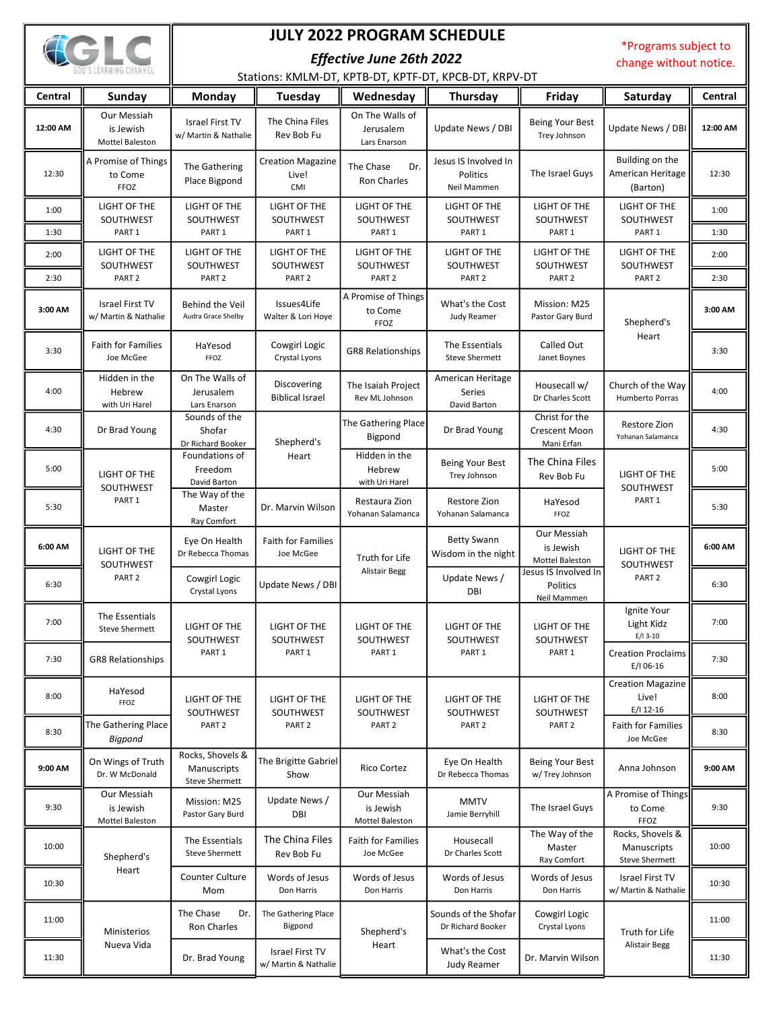| GLC                    |                                                              |                                                                                   |                                                             |                                                |                                                        |                                                                                                       |                                                   |              |  |
|------------------------|--------------------------------------------------------------|-----------------------------------------------------------------------------------|-------------------------------------------------------------|------------------------------------------------|--------------------------------------------------------|-------------------------------------------------------------------------------------------------------|---------------------------------------------------|--------------|--|
|                        |                                                              |                                                                                   | *Programs subject to<br>change without notice.              |                                                |                                                        |                                                                                                       |                                                   |              |  |
| 6OD'S LEARNING CHANNEL |                                                              | Effective June 26th 2022<br>Stations: KMLM-DT, KPTB-DT, KPTF-DT, KPCB-DT, KRPV-DT |                                                             |                                                |                                                        |                                                                                                       |                                                   |              |  |
| Central                | Sunday                                                       | Monday                                                                            | Tuesday                                                     | Wednesday                                      | Thursday                                               | Friday                                                                                                | Saturday                                          | Central      |  |
| 12:00 AM               | Our Messiah<br>is Jewish<br><b>Mottel Baleston</b>           | <b>Israel First TV</b><br>w/ Martin & Nathalie                                    | The China Files<br>Rev Bob Fu                               | On The Walls of<br>Jerusalem<br>Lars Enarson   | Update News / DBI                                      | <b>Being Your Best</b><br>Trey Johnson                                                                | Update News / DBI                                 | 12:00 AM     |  |
| 12:30                  | A Promise of Things<br>to Come<br>FFOZ                       | The Gathering<br>Place Bigpond                                                    | <b>Creation Magazine</b><br>Live!<br>CMI                    | The Chase<br>Dr.<br><b>Ron Charles</b>         | Jesus IS Involved In<br><b>Politics</b><br>Neil Mammen | The Israel Guys                                                                                       | Building on the<br>American Heritage<br>(Barton)  | 12:30        |  |
| 1:00                   | LIGHT OF THE<br>SOUTHWEST                                    | LIGHT OF THE<br>SOUTHWEST                                                         | LIGHT OF THE<br>SOUTHWEST                                   | LIGHT OF THE<br>SOUTHWEST                      | LIGHT OF THE<br>SOUTHWEST                              | LIGHT OF THE<br>SOUTHWEST                                                                             | LIGHT OF THE<br>SOUTHWEST                         | 1:00         |  |
| 1:30                   | PART <sub>1</sub>                                            | PART <sub>1</sub>                                                                 | PART <sub>1</sub>                                           | PART <sub>1</sub>                              | PART <sub>1</sub>                                      | PART <sub>1</sub>                                                                                     | PART <sub>1</sub>                                 | 1:30         |  |
| 2:00<br>2:30           | LIGHT OF THE<br>SOUTHWEST<br>PART <sub>2</sub>               | LIGHT OF THE<br>SOUTHWEST<br>PART <sub>2</sub>                                    | LIGHT OF THE<br>SOUTHWEST<br>PART <sub>2</sub>              | LIGHT OF THE<br>SOUTHWEST<br>PART <sub>2</sub> | LIGHT OF THE<br>SOUTHWEST<br>PART <sub>2</sub>         | LIGHT OF THE<br>SOUTHWEST<br>PART <sub>2</sub>                                                        | LIGHT OF THE<br>SOUTHWEST<br>PART <sub>2</sub>    | 2:00<br>2:30 |  |
| 3:00 AM                | <b>Israel First TV</b><br>w/ Martin & Nathalie               | <b>Behind the Veil</b><br>Audra Grace Shelby                                      | Issues4Life<br>Walter & Lori Hoye                           | A Promise of Things<br>to Come<br>FFOZ         | What's the Cost<br>Judy Reamer                         | Mission: M25<br>Pastor Gary Burd                                                                      | Shepherd's                                        | 3:00 AM      |  |
| 3:30                   | <b>Faith for Families</b><br>Joe McGee                       | HaYesod<br>FFOZ                                                                   | Cowgirl Logic<br>Crystal Lyons                              | <b>GR8 Relationships</b>                       | The Essentials<br><b>Steve Shermett</b>                | Called Out<br>Janet Boynes                                                                            | Heart                                             | 3:30         |  |
| 4:00                   | Hidden in the<br>Hebrew<br>with Uri Harel                    | On The Walls of<br>Jerusalem<br>Lars Enarson                                      | Discovering<br><b>Biblical Israel</b>                       | The Isaiah Project<br>Rev ML Johnson           | American Heritage<br>Series<br>David Barton            | Housecall w/<br>Dr Charles Scott                                                                      | Church of the Way<br>Humberto Porras              | 4:00         |  |
| 4:30                   | Dr Brad Young                                                | Sounds of the<br>Shofar<br>Dr Richard Booker                                      | Shepherd's                                                  | The Gathering Place<br>Bigpond                 | Dr Brad Young                                          | Christ for the<br><b>Crescent Moon</b><br>Mani Erfan                                                  | Restore Zion<br>Yohanan Salamanca                 | 4:30         |  |
| 5:00                   | LIGHT OF THE                                                 | Foundations of<br>Freedom<br>David Barton                                         | Heart                                                       | Hidden in the<br>Hebrew<br>with Uri Harel      | Being Your Best<br>Trey Johnson                        | The China Files<br>Rev Bob Fu                                                                         | LIGHT OF THE                                      | 5:00         |  |
| 5:30                   | SOUTHWEST<br>PART <sub>1</sub>                               | The Way of the<br>Master<br>Ray Comfort                                           | Dr. Marvin Wilson                                           | Restaura Zion<br>Yohanan Salamanca             | Restore Zion<br>Yohanan Salamanca                      | HaYesod<br>FFOZ                                                                                       | SOUTHWEST<br>PART <sub>1</sub>                    | 5:30         |  |
| 6:00 AM                | LIGHT OF THE<br>SOUTHWEST<br>PART <sub>2</sub>               | Eye On Health<br>Dr Rebecca Thomas                                                | <b>Faith for Families</b><br>Joe McGee<br>Update News / DBI | Truth for Life<br>Alistair Begg                | <b>Betty Swann</b><br>Wisdom in the night              | Our Messiah<br>is Jewish<br><b>Mottel Baleston</b><br>Jesus IS Involved In<br>Politics<br>Neil Mammen | LIGHT OF THE<br>SOUTHWEST<br>PART <sub>2</sub>    | 6:00 AM      |  |
| 6:30                   |                                                              | Cowgirl Logic<br>Crystal Lyons                                                    |                                                             |                                                | Update News /<br>DBI                                   |                                                                                                       |                                                   | 6:30         |  |
| 7:00                   | The Essentials<br>Steve Shermett<br><b>GR8 Relationships</b> | LIGHT OF THE<br>SOUTHWEST<br>PART <sub>1</sub>                                    | LIGHT OF THE<br>SOUTHWEST<br>PART <sub>1</sub>              | LIGHT OF THE<br>SOUTHWEST<br>PART <sub>1</sub> | LIGHT OF THE<br>SOUTHWEST<br>PART <sub>1</sub>         | LIGHT OF THE<br>SOUTHWEST<br>PART <sub>1</sub>                                                        | Ignite Your<br>Light Kidz<br>$E/I$ 3-10           | 7:00         |  |
| 7:30                   |                                                              |                                                                                   |                                                             |                                                |                                                        |                                                                                                       | <b>Creation Proclaims</b><br>$E/106-16$           | 7:30         |  |
| 8:00                   | HaYesod<br>FFOZ                                              | LIGHT OF THE<br>SOUTHWEST<br>PART <sub>2</sub>                                    | LIGHT OF THE<br>SOUTHWEST<br>PART <sub>2</sub>              | LIGHT OF THE<br>SOUTHWEST<br>PART <sub>2</sub> | LIGHT OF THE<br>SOUTHWEST<br>PART <sub>2</sub>         | LIGHT OF THE<br>SOUTHWEST<br>PART <sub>2</sub>                                                        | <b>Creation Magazine</b><br>Live!<br>$E/1$ 12-16  | 8:00         |  |
| 8:30                   | The Gathering Place<br>Bigpond                               |                                                                                   |                                                             |                                                |                                                        |                                                                                                       | <b>Faith for Families</b><br>Joe McGee            | 8:30         |  |
| 9:00 AM                | On Wings of Truth<br>Dr. W McDonald                          | Rocks, Shovels &<br>Manuscripts<br><b>Steve Shermett</b>                          | The Brigitte Gabriel<br>Show                                | Rico Cortez                                    | Eye On Health<br>Dr Rebecca Thomas                     | <b>Being Your Best</b><br>w/Trey Johnson                                                              | Anna Johnson                                      | 9:00 AM      |  |
| 9:30                   | Our Messiah<br>is Jewish<br>Mottel Baleston                  | Mission: M25<br>Pastor Gary Burd                                                  | Update News /<br>DBI                                        | Our Messiah<br>is Jewish<br>Mottel Baleston    | <b>MMTV</b><br>Jamie Berryhill                         | The Israel Guys                                                                                       | A Promise of Things<br>to Come<br>FFOZ            | 9:30         |  |
| 10:00                  | Shepherd's<br>Heart                                          | The Essentials<br><b>Steve Shermett</b>                                           | The China Files<br>Rev Bob Fu                               | <b>Faith for Families</b><br>Joe McGee         | Housecall<br>Dr Charles Scott                          | The Way of the<br>Master<br>Ray Comfort                                                               | Rocks, Shovels &<br>Manuscripts<br>Steve Shermett | 10:00        |  |
| 10:30                  |                                                              | Counter Culture<br>Mom                                                            | Words of Jesus<br>Don Harris                                | Words of Jesus<br>Don Harris                   | Words of Jesus<br>Don Harris                           | Words of Jesus<br>Don Harris                                                                          | <b>Israel First TV</b><br>w/ Martin & Nathalie    | 10:30        |  |
| 11:00                  | Ministerios<br>Nueva Vida                                    | The Chase<br>Dr.<br>Ron Charles                                                   | The Gathering Place<br>Bigpond                              | Shepherd's                                     | Sounds of the Shofar<br>Dr Richard Booker              | Cowgirl Logic<br>Crystal Lyons                                                                        | Truth for Life<br><b>Alistair Begg</b>            | 11:00        |  |
| 11:30                  |                                                              | Dr. Brad Young                                                                    | <b>Israel First TV</b><br>w/ Martin & Nathalie              | Heart                                          | What's the Cost<br><b>Judy Reamer</b>                  | Dr. Marvin Wilson                                                                                     |                                                   | 11:30        |  |